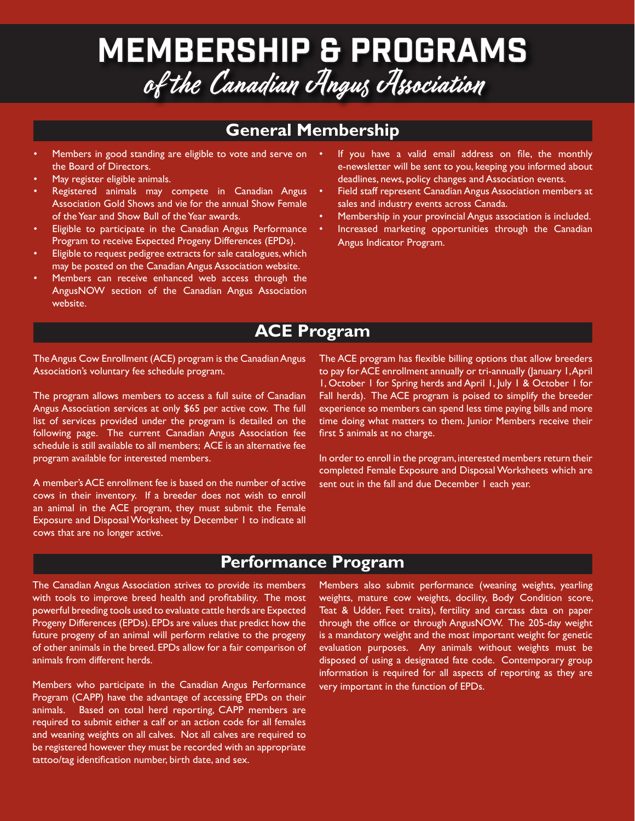## Membership & Programs of the Canadian Angus Association

## **General Membership**

- Members in good standing are eligible to vote and serve on the Board of Directors.
- May register eligible animals.
- Registered animals may compete in Canadian Angus Association Gold Shows and vie for the annual Show Female of the Year and Show Bull of the Year awards.
- Eligible to participate in the Canadian Angus Performance Program to receive Expected Progeny Differences (EPDs).
- Eligible to request pedigree extracts for sale catalogues, which may be posted on the Canadian Angus Association website.
- Members can receive enhanced web access through the AngusNOW section of the Canadian Angus Association website.
- If you have a valid email address on file, the monthly e-newsletter will be sent to you, keeping you informed about deadlines, news, policy changes and Association events.
- Field staff represent Canadian Angus Association members at sales and industry events across Canada.
- Membership in your provincial Angus association is included.
- Increased marketing opportunities through the Canadian Angus Indicator Program.

## **ACE Program**

The Angus Cow Enrollment (ACE) program is the Canadian Angus Association's voluntary fee schedule program.

The program allows members to access a full suite of Canadian Angus Association services at only \$65 per active cow. The full list of services provided under the program is detailed on the following page. The current Canadian Angus Association fee schedule is still available to all members; ACE is an alternative fee program available for interested members.

A member's ACE enrollment fee is based on the number of active cows in their inventory. If a breeder does not wish to enroll an animal in the ACE program, they must submit the Female Exposure and Disposal Worksheet by December 1 to indicate all cows that are no longer active.

The ACE program has flexible billing options that allow breeders to pay for ACE enrollment annually or tri-annually (January 1, April 1, October 1 for Spring herds and April 1, July 1 & October 1 for Fall herds). The ACE program is poised to simplify the breeder experience so members can spend less time paying bills and more time doing what matters to them. Junior Members receive their first 5 animals at no charge.

In order to enroll in the program, interested members return their completed Female Exposure and Disposal Worksheets which are sent out in the fall and due December 1 each year.

## **Performance Program**

The Canadian Angus Association strives to provide its members with tools to improve breed health and profitability. The most powerful breeding tools used to evaluate cattle herds are Expected Progeny Differences (EPDs). EPDs are values that predict how the future progeny of an animal will perform relative to the progeny of other animals in the breed. EPDs allow for a fair comparison of animals from different herds.

Members who participate in the Canadian Angus Performance Program (CAPP) have the advantage of accessing EPDs on their animals. Based on total herd reporting, CAPP members are required to submit either a calf or an action code for all females and weaning weights on all calves. Not all calves are required to be registered however they must be recorded with an appropriate tattoo/tag identification number, birth date, and sex.

Members also submit performance (weaning weights, yearling weights, mature cow weights, docility, Body Condition score, Teat & Udder, Feet traits), fertility and carcass data on paper through the office or through AngusNOW. The 205-day weight is a mandatory weight and the most important weight for genetic evaluation purposes. Any animals without weights must be disposed of using a designated fate code. Contemporary group information is required for all aspects of reporting as they are very important in the function of EPDs.